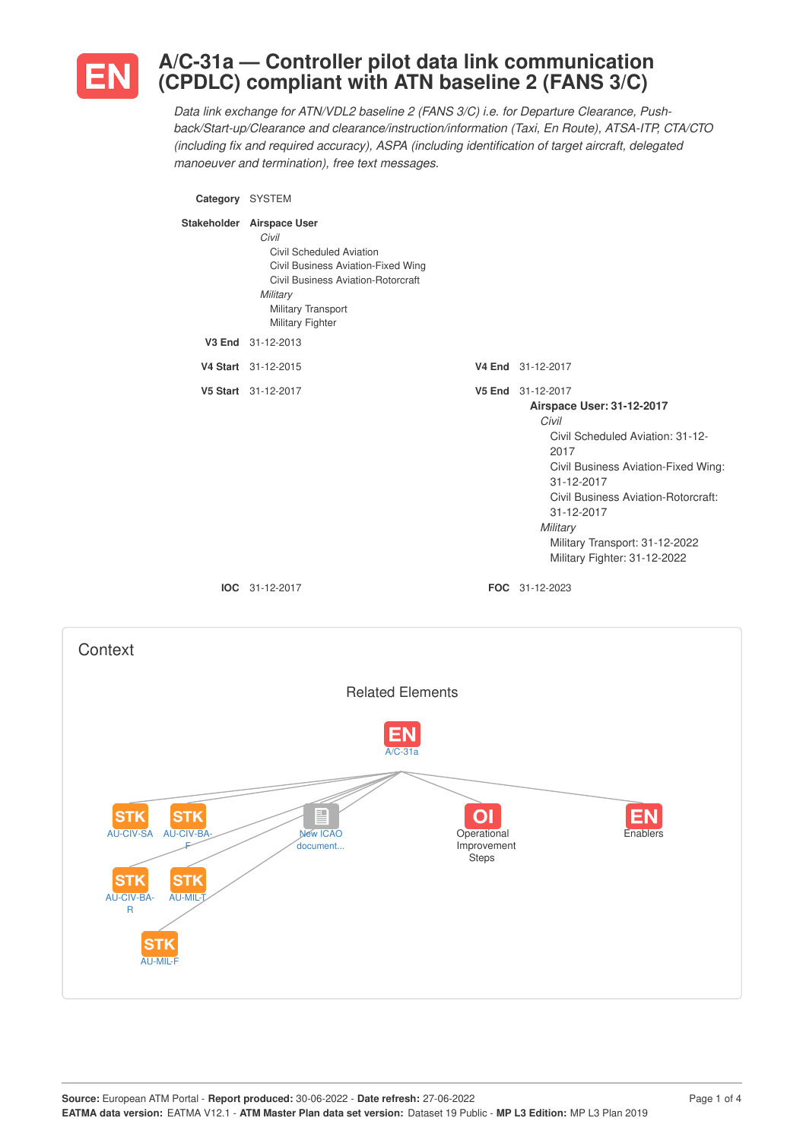

## **A/C-31a — Controller pilot data link communication (CPDLC) compliant with ATN baseline 2 (FANS 3/C)**

*Data link exchange for ATN/VDL2 baseline 2 (FANS 3/C) i.e. for Departure Clearance, Pushback/Start-up/Clearance and clearance/instruction/information (Taxi, En Route), ATSA-ITP, CTA/CTO (including fix and required accuracy), ASPA (including identification of target aircraft, delegated manoeuver and termination), free text messages.*

**Category** SYSTEM **Stakeholder Airspace User** *Civil* Civil Scheduled Aviation Civil Business Aviation-Fixed Wing Civil Business Aviation-Rotorcraft *Military* Military Transport Military Fighter **V3 End** 31-12-2013 **V4 Start** 31-12-2015 **V4 End** 31-12-2017 **V5 Start** 31-12-2017 **V5 End** 31-12-2017 **Airspace User: 31-12-2017** *Civil* Civil Scheduled Aviation: 31-12- 2017 Civil Business Aviation-Fixed Wing: 31-12-2017 Civil Business Aviation-Rotorcraft: 31-12-2017 *Military* Military Transport: 31-12-2022 Military Fighter: 31-12-2022 **IOC** 31-12-2017 **FOC** 31-12-2023

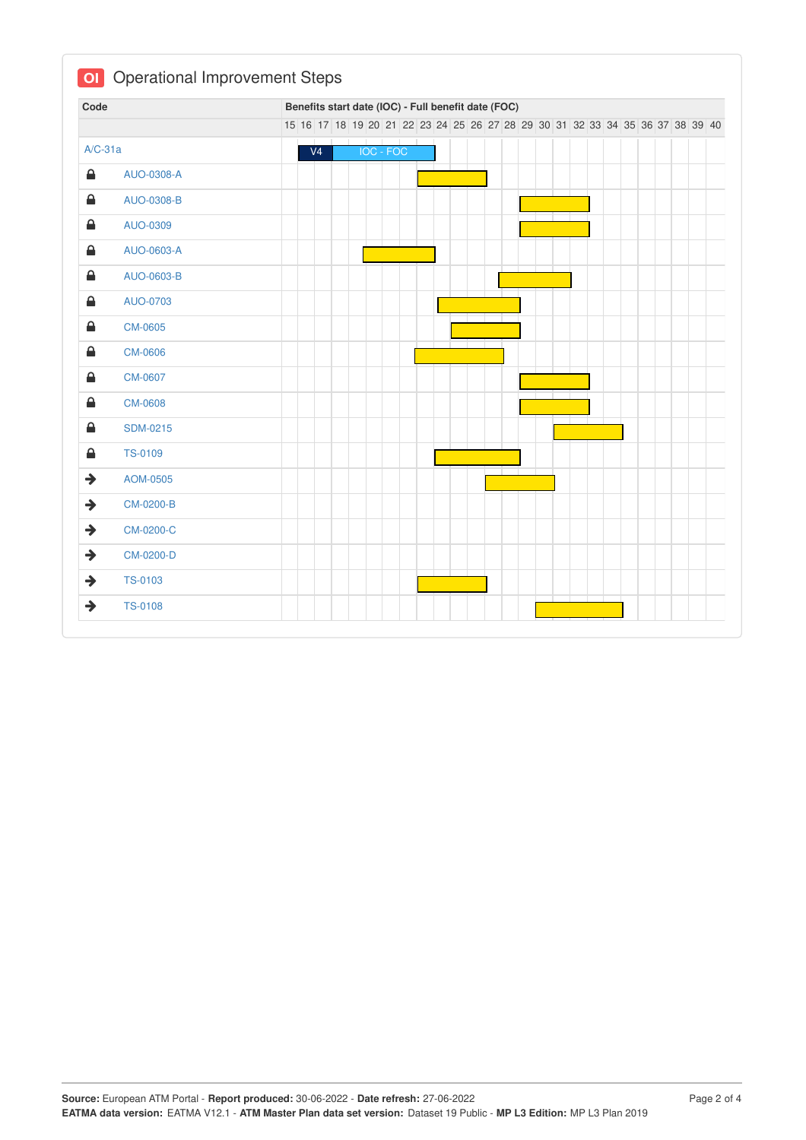| Code                        |                 | Benefits start date (IOC) - Full benefit date (FOC) |  |  |  |                                                                               |  |  |  |  |  |  |  |  |  |  |  |  |
|-----------------------------|-----------------|-----------------------------------------------------|--|--|--|-------------------------------------------------------------------------------|--|--|--|--|--|--|--|--|--|--|--|--|
|                             |                 |                                                     |  |  |  | 15 16 17 18 19 20 21 22 23 24 25 26 27 28 29 30 31 32 33 34 35 36 37 38 39 40 |  |  |  |  |  |  |  |  |  |  |  |  |
| $A/C-31a$                   |                 | V <sub>4</sub>                                      |  |  |  | IOC - FOC                                                                     |  |  |  |  |  |  |  |  |  |  |  |  |
| €                           | AUO-0308-A      |                                                     |  |  |  |                                                                               |  |  |  |  |  |  |  |  |  |  |  |  |
| €                           | AUO-0308-B      |                                                     |  |  |  |                                                                               |  |  |  |  |  |  |  |  |  |  |  |  |
| €                           | AUO-0309        |                                                     |  |  |  |                                                                               |  |  |  |  |  |  |  |  |  |  |  |  |
| €                           | AUO-0603-A      |                                                     |  |  |  |                                                                               |  |  |  |  |  |  |  |  |  |  |  |  |
| €                           | AUO-0603-B      |                                                     |  |  |  |                                                                               |  |  |  |  |  |  |  |  |  |  |  |  |
| $\triangle$                 | AUO-0703        |                                                     |  |  |  |                                                                               |  |  |  |  |  |  |  |  |  |  |  |  |
| €                           | <b>CM-0605</b>  |                                                     |  |  |  |                                                                               |  |  |  |  |  |  |  |  |  |  |  |  |
| €                           | <b>CM-0606</b>  |                                                     |  |  |  |                                                                               |  |  |  |  |  |  |  |  |  |  |  |  |
| €                           | CM-0607         |                                                     |  |  |  |                                                                               |  |  |  |  |  |  |  |  |  |  |  |  |
| $\triangle$                 | CM-0608         |                                                     |  |  |  |                                                                               |  |  |  |  |  |  |  |  |  |  |  |  |
| $\color{red}\blacktriangle$ | <b>SDM-0215</b> |                                                     |  |  |  |                                                                               |  |  |  |  |  |  |  |  |  |  |  |  |
| €                           | TS-0109         |                                                     |  |  |  |                                                                               |  |  |  |  |  |  |  |  |  |  |  |  |
| $\rightarrow$               | AOM-0505        |                                                     |  |  |  |                                                                               |  |  |  |  |  |  |  |  |  |  |  |  |
| $\rightarrow$               | CM-0200-B       |                                                     |  |  |  |                                                                               |  |  |  |  |  |  |  |  |  |  |  |  |
| $\rightarrow$               | CM-0200-C       |                                                     |  |  |  |                                                                               |  |  |  |  |  |  |  |  |  |  |  |  |
| $\rightarrow$               | CM-0200-D       |                                                     |  |  |  |                                                                               |  |  |  |  |  |  |  |  |  |  |  |  |
| $\rightarrow$               | <b>TS-0103</b>  |                                                     |  |  |  |                                                                               |  |  |  |  |  |  |  |  |  |  |  |  |
| $\rightarrow$               | <b>TS-0108</b>  |                                                     |  |  |  |                                                                               |  |  |  |  |  |  |  |  |  |  |  |  |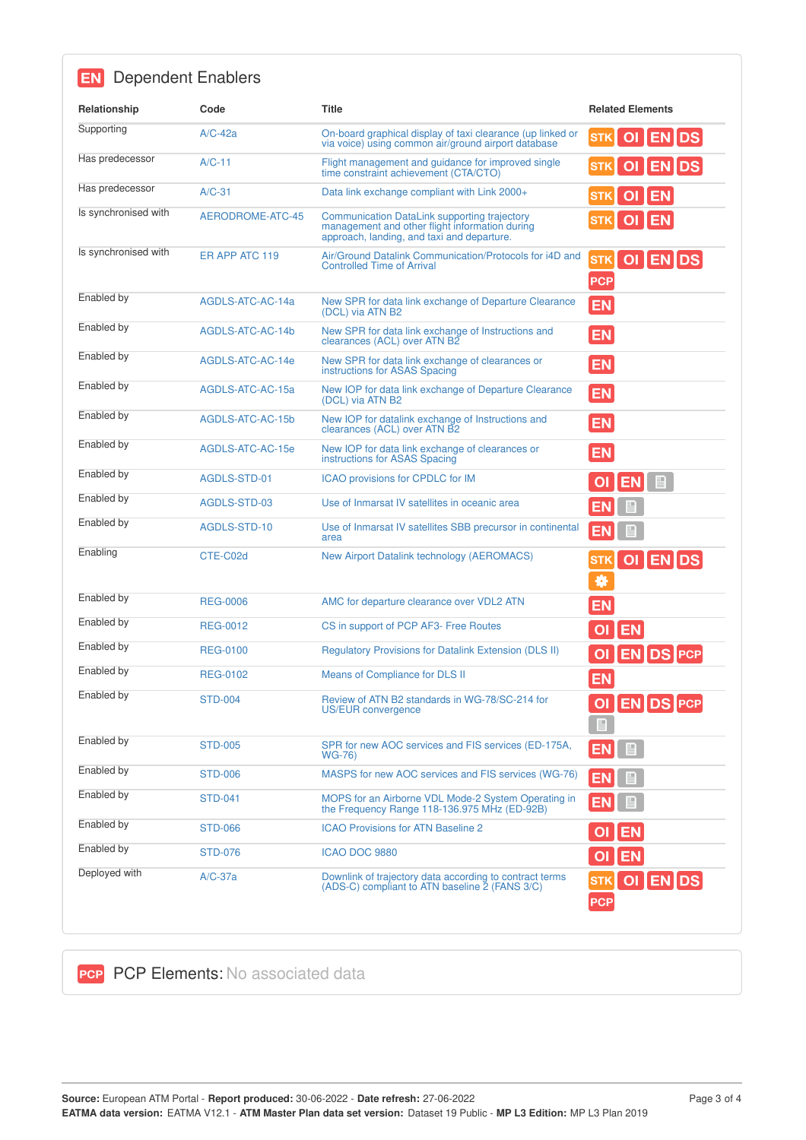| Relationship         | Code             | <b>Title</b>                                                                                                                                 | <b>Related Elements</b>             |
|----------------------|------------------|----------------------------------------------------------------------------------------------------------------------------------------------|-------------------------------------|
| Supporting           |                  |                                                                                                                                              |                                     |
|                      | $A/C-42a$        | On-board graphical display of taxi clearance (up linked or<br>via voice) using common air/ground airport database                            | STK OI EN DS                        |
| Has predecessor      | $A/C-11$         | Flight management and guidance for improved single<br>time constraint achievement (CTA/CTO)                                                  | OI ENDS<br><b>STK</b>               |
| Has predecessor      | $A/C-31$         | Data link exchange compliant with Link 2000+                                                                                                 | OI EN<br><b>STK</b>                 |
| Is synchronised with | AERODROME-ATC-45 | Communication DataLink supporting trajectory<br>management and other flight information during<br>approach, landing, and taxi and departure. | OI EN<br><b>STK</b>                 |
| Is synchronised with | ER APP ATC 119   | Air/Ground Datalink Communication/Protocols for i4D and<br><b>Controlled Time of Arrival</b>                                                 | STK OI EN DS<br><b>PCP</b>          |
| Enabled by           | AGDLS-ATC-AC-14a | New SPR for data link exchange of Departure Clearance<br>(DCL) via ATN B2                                                                    | <b>EN</b>                           |
| Enabled by           | AGDLS-ATC-AC-14b | New SPR for data link exchange of Instructions and<br>clearances (ACL) over ATN B2                                                           | <b>EN</b>                           |
| Enabled by           | AGDLS-ATC-AC-14e | New SPR for data link exchange of clearances or<br>instructions for ASAS Spacing                                                             | <b>EN</b>                           |
| Enabled by           | AGDLS-ATC-AC-15a | New IOP for data link exchange of Departure Clearance<br>(DCL) via ATN B2                                                                    | <b>EN</b>                           |
| Enabled by           | AGDLS-ATC-AC-15b | New IOP for datalink exchange of Instructions and<br>clearances (ACL) over ATN B2                                                            | <b>EN</b>                           |
| Enabled by           | AGDLS-ATC-AC-15e | New IOP for data link exchange of clearances or<br>instructions for ASAS Spacing                                                             | <b>EN</b>                           |
| Enabled by           | AGDLS-STD-01     | ICAO provisions for CPDLC for IM                                                                                                             | OI EN E                             |
| Enabled by           | AGDLS-STD-03     | Use of Inmarsat IV satellites in oceanic area                                                                                                | E                                   |
| Enabled by           | AGDLS-STD-10     | Use of Inmarsat IV satellites SBB precursor in continental<br>area                                                                           | 目<br><b>EN</b>                      |
| Enabling             | CTE-C02d         | New Airport Datalink technology (AEROMACS)                                                                                                   | STK OI EN DS<br>券                   |
| Enabled by           | <b>REG-0006</b>  | AMC for departure clearance over VDL2 ATN                                                                                                    | <b>EN</b>                           |
| Enabled by           | <b>REG-0012</b>  | CS in support of PCP AF3- Free Routes                                                                                                        | <b>EN</b>                           |
| Enabled by           | <b>REG-0100</b>  | <b>Regulatory Provisions for Datalink Extension (DLS II)</b>                                                                                 | <b>EN DS PCP</b>                    |
| Enabled by           | <b>REG-0102</b>  | Means of Compliance for DLS II                                                                                                               | <b>EN</b>                           |
| Enabled by           | <b>STD-004</b>   | Review of ATN B2 standards in WG-78/SC-214 for<br>US/EUR convergence                                                                         | OI EN DS PCP<br>$\blacksquare$      |
| Enabled by           | <b>STD-005</b>   | SPR for new AOC services and FIS services (ED-175A,<br><b>WG-76)</b>                                                                         | $\blacksquare$<br>EN                |
| Enabled by           | <b>STD-006</b>   | MASPS for new AOC services and FIS services (WG-76)                                                                                          | H<br>EΝ                             |
| Enabled by           | <b>STD-041</b>   | MOPS for an Airborne VDL Mode-2 System Operating in<br>the Frequency Range 118-136.975 MHz (ED-92B)                                          |                                     |
| Enabled by           | <b>STD-066</b>   | <b>ICAO Provisions for ATN Baseline 2</b>                                                                                                    | <b>EN</b>                           |
| Enabled by           | <b>STD-076</b>   | ICAO DOC 9880                                                                                                                                | O <br><b>EN</b>                     |
| Deployed with        | $A/C-37a$        | Downlink of trajectory data according to contract terms<br>(ADS-C) compliant to ATN baseline 2 (FANS 3/C)                                    | OI ENDS<br><b>STK</b><br><b>PCP</b> |

**PCP PCP Elements: No associated data**